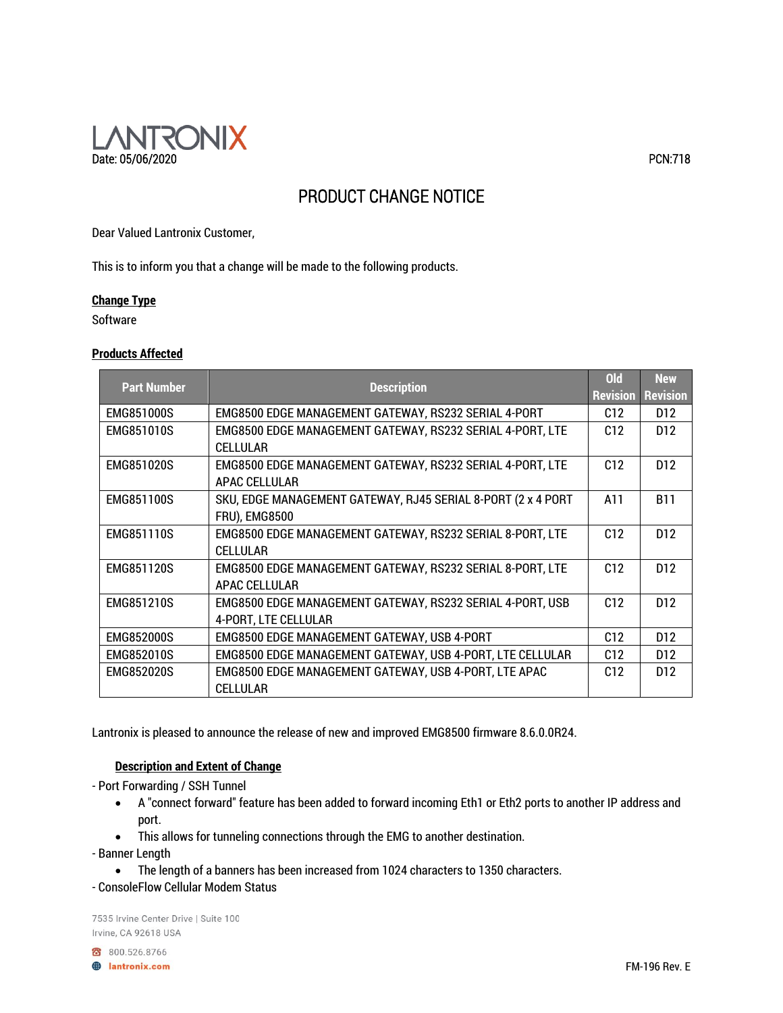

# PRODUCT CHANGE NOTICE

Dear Valued Lantronix Customer,

This is to inform you that a change will be made to the following products.

#### **Change Type**

Software

#### **Products Affected**

| <b>Part Number</b> | <b>Description</b>                                           | ol <sub>d</sub> | <b>New</b>               |
|--------------------|--------------------------------------------------------------|-----------------|--------------------------|
|                    |                                                              |                 | <b>Revision Revision</b> |
| <b>EMG851000S</b>  | EMG8500 EDGE MANAGEMENT GATEWAY, RS232 SERIAL 4-PORT         | C12             | D <sub>12</sub>          |
| EMG851010S         | EMG8500 EDGE MANAGEMENT GATEWAY, RS232 SERIAL 4-PORT, LTE    | C12             | D <sub>12</sub>          |
|                    | <b>CELLULAR</b>                                              |                 |                          |
| EMG851020S         | EMG8500 EDGE MANAGEMENT GATEWAY, RS232 SERIAL 4-PORT, LTE    | C12             | D <sub>12</sub>          |
|                    | APAC CELLULAR                                                |                 |                          |
| <b>EMG851100S</b>  | SKU, EDGE MANAGEMENT GATEWAY, RJ45 SERIAL 8-PORT (2 x 4 PORT | A11             | <b>B11</b>               |
|                    | <b>FRU), EMG8500</b>                                         |                 |                          |
| <b>EMG851110S</b>  | EMG8500 EDGE MANAGEMENT GATEWAY, RS232 SERIAL 8-PORT, LTE    | C12             | D <sub>12</sub>          |
|                    | CFI I UI AR                                                  |                 |                          |
| <b>EMG851120S</b>  | EMG8500 EDGE MANAGEMENT GATEWAY, RS232 SERIAL 8-PORT, LTE    | C12             | D <sub>12</sub>          |
|                    | APAC CELLULAR                                                |                 |                          |
| <b>EMG851210S</b>  | EMG8500 EDGE MANAGEMENT GATEWAY, RS232 SERIAL 4-PORT, USB    | C12             | D <sub>12</sub>          |
|                    | 4-PORT, LTE CELLULAR                                         |                 |                          |
| <b>EMG852000S</b>  | EMG8500 EDGE MANAGEMENT GATEWAY, USB 4-PORT                  | C12             | D <sub>12</sub>          |
| <b>EMG852010S</b>  | EMG8500 EDGE MANAGEMENT GATEWAY, USB 4-PORT, LTE CELLULAR    | C12             | D <sub>12</sub>          |
| <b>EMG852020S</b>  | EMG8500 EDGE MANAGEMENT GATEWAY, USB 4-PORT, LTE APAC        | C12             | D <sub>12</sub>          |
|                    | CELLULAR                                                     |                 |                          |

Lantronix is pleased to announce the release of new and improved EMG8500 firmware 8.6.0.0R24.

# **Description and Extent of Change**

- Port Forwarding / SSH Tunnel

- A "connect forward" feature has been added to forward incoming Eth1 or Eth2 ports to another IP address and port.
- This allows for tunneling connections through the EMG to another destination.

- Banner Length

- The length of a banners has been increased from 1024 characters to 1350 characters.
- ConsoleFlow Cellular Modem Status

7535 Irvine Center Drive | Suite 100 Irvine, CA 92618 USA

800.526.8766

**B** lantronix.com